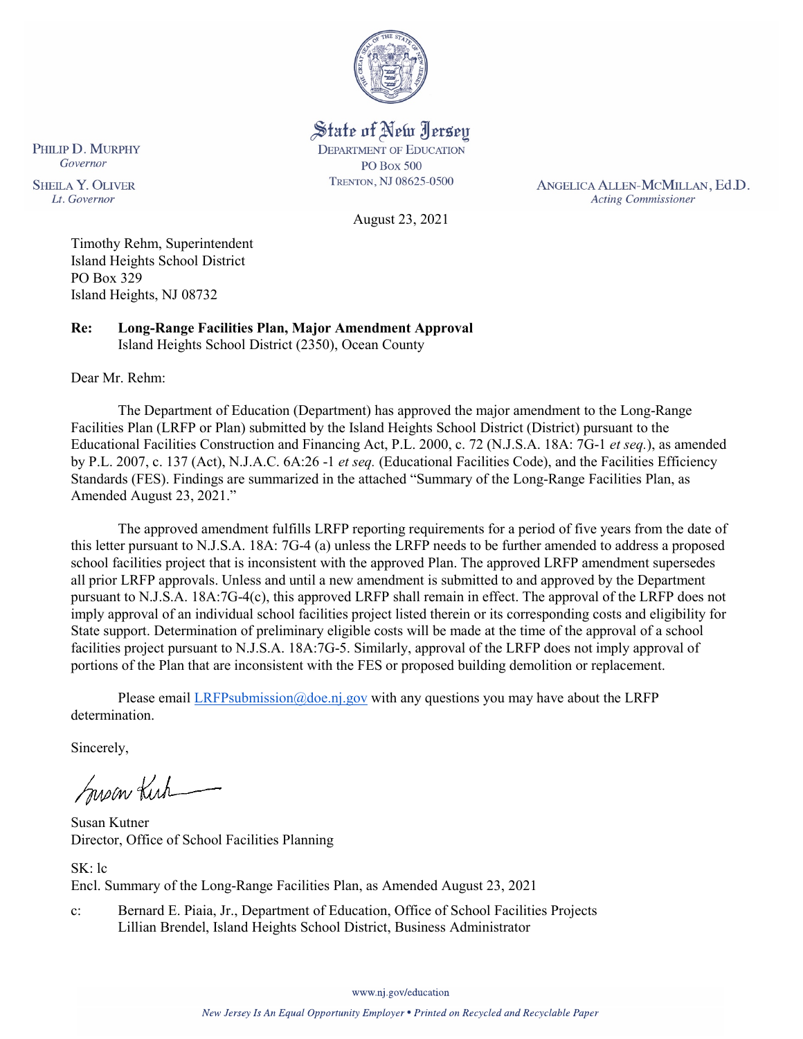

State of New Jersey **DEPARTMENT OF EDUCATION PO Box 500** TRENTON, NJ 08625-0500

ANGELICA ALLEN-MCMILLAN, Ed.D. **Acting Commissioner** 

August 23, 2021

Timothy Rehm, Superintendent Island Heights School District PO Box 329 Island Heights, NJ 08732

**Re: Long-Range Facilities Plan, Major Amendment Approval**  Island Heights School District (2350), Ocean County

Dear Mr. Rehm:

PHILIP D. MURPHY Governor

**SHEILA Y. OLIVER** 

Lt. Governor

The Department of Education (Department) has approved the major amendment to the Long-Range Facilities Plan (LRFP or Plan) submitted by the Island Heights School District (District) pursuant to the Educational Facilities Construction and Financing Act, P.L. 2000, c. 72 (N.J.S.A. 18A: 7G-1 *et seq.*), as amended by P.L. 2007, c. 137 (Act), N.J.A.C. 6A:26 -1 *et seq.* (Educational Facilities Code), and the Facilities Efficiency Standards (FES). Findings are summarized in the attached "Summary of the Long-Range Facilities Plan, as Amended August 23, 2021."

The approved amendment fulfills LRFP reporting requirements for a period of five years from the date of this letter pursuant to N.J.S.A. 18A: 7G-4 (a) unless the LRFP needs to be further amended to address a proposed school facilities project that is inconsistent with the approved Plan. The approved LRFP amendment supersedes all prior LRFP approvals. Unless and until a new amendment is submitted to and approved by the Department pursuant to N.J.S.A. 18A:7G-4(c), this approved LRFP shall remain in effect. The approval of the LRFP does not imply approval of an individual school facilities project listed therein or its corresponding costs and eligibility for State support. Determination of preliminary eligible costs will be made at the time of the approval of a school facilities project pursuant to N.J.S.A. 18A:7G-5. Similarly, approval of the LRFP does not imply approval of portions of the Plan that are inconsistent with the FES or proposed building demolition or replacement.

Please email [LRFPsubmission@doe.nj.gov](mailto:LRFPsubmission@doe.nj.gov) with any questions you may have about the LRFP determination.

Sincerely,

Susan Kich

Susan Kutner Director, Office of School Facilities Planning

SK: lc Encl. Summary of the Long-Range Facilities Plan, as Amended August 23, 2021

c: Bernard E. Piaia, Jr., Department of Education, Office of School Facilities Projects Lillian Brendel, Island Heights School District, Business Administrator

www.nj.gov/education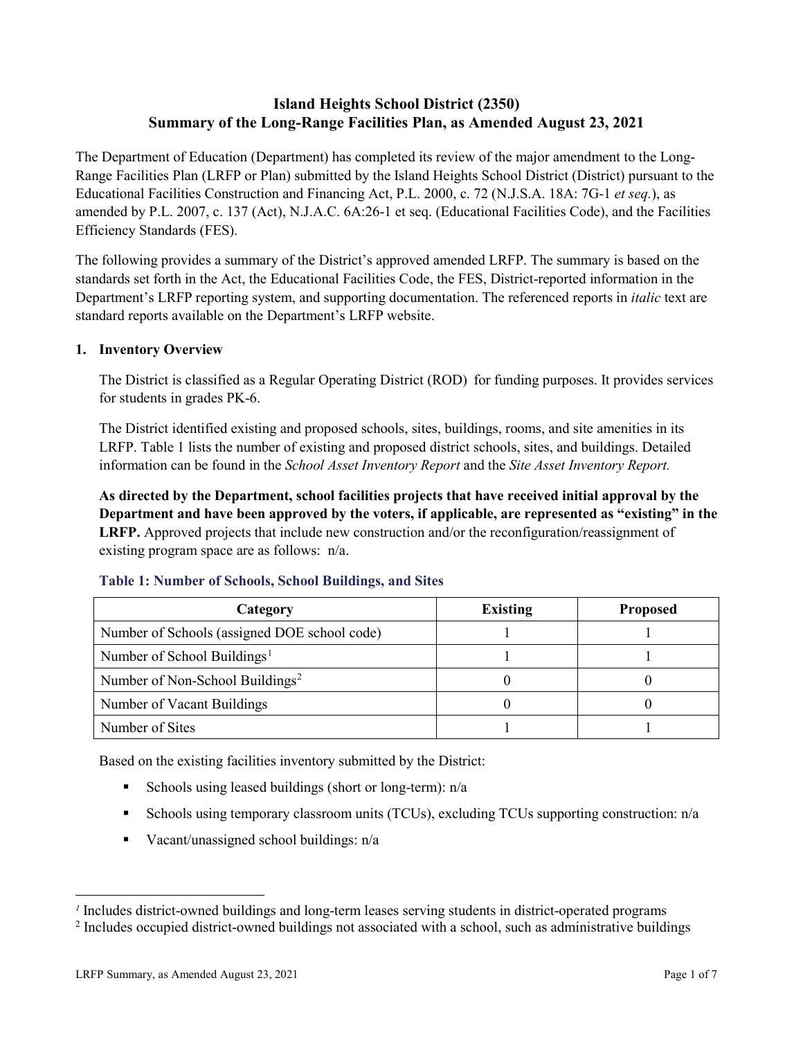## **Island Heights School District (2350) Summary of the Long-Range Facilities Plan, as Amended August 23, 2021**

The Department of Education (Department) has completed its review of the major amendment to the Long-Range Facilities Plan (LRFP or Plan) submitted by the Island Heights School District (District) pursuant to the Educational Facilities Construction and Financing Act, P.L. 2000, c. 72 (N.J.S.A. 18A: 7G-1 *et seq.*), as amended by P.L. 2007, c. 137 (Act), N.J.A.C. 6A:26-1 et seq. (Educational Facilities Code), and the Facilities Efficiency Standards (FES).

The following provides a summary of the District's approved amended LRFP. The summary is based on the standards set forth in the Act, the Educational Facilities Code, the FES, District-reported information in the Department's LRFP reporting system, and supporting documentation. The referenced reports in *italic* text are standard reports available on the Department's LRFP website.

## **1. Inventory Overview**

The District is classified as a Regular Operating District (ROD) for funding purposes. It provides services for students in grades PK-6.

The District identified existing and proposed schools, sites, buildings, rooms, and site amenities in its LRFP. Table 1 lists the number of existing and proposed district schools, sites, and buildings. Detailed information can be found in the *School Asset Inventory Report* and the *Site Asset Inventory Report.*

**As directed by the Department, school facilities projects that have received initial approval by the Department and have been approved by the voters, if applicable, are represented as "existing" in the LRFP.** Approved projects that include new construction and/or the reconfiguration/reassignment of existing program space are as follows: n/a.

| Category                                     | <b>Existing</b> | <b>Proposed</b> |
|----------------------------------------------|-----------------|-----------------|
| Number of Schools (assigned DOE school code) |                 |                 |
| Number of School Buildings <sup>1</sup>      |                 |                 |
| Number of Non-School Buildings <sup>2</sup>  |                 |                 |
| Number of Vacant Buildings                   |                 |                 |
| Number of Sites                              |                 |                 |

#### **Table 1: Number of Schools, School Buildings, and Sites**

Based on the existing facilities inventory submitted by the District:

- Schools using leased buildings (short or long-term):  $n/a$
- Schools using temporary classroom units (TCUs), excluding TCUs supporting construction: n/a
- Vacant/unassigned school buildings:  $n/a$

 $\overline{a}$ 

<span id="page-1-1"></span><span id="page-1-0"></span>*<sup>1</sup>* Includes district-owned buildings and long-term leases serving students in district-operated programs

<sup>&</sup>lt;sup>2</sup> Includes occupied district-owned buildings not associated with a school, such as administrative buildings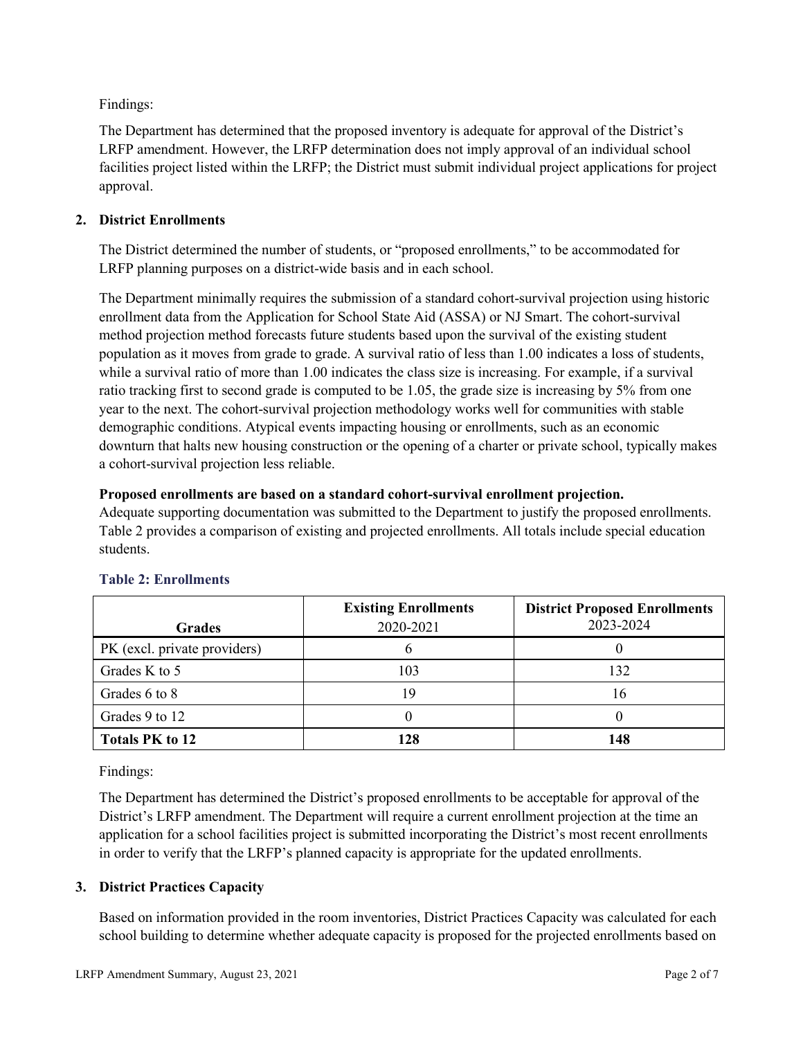Findings:

The Department has determined that the proposed inventory is adequate for approval of the District's LRFP amendment. However, the LRFP determination does not imply approval of an individual school facilities project listed within the LRFP; the District must submit individual project applications for project approval.

## **2. District Enrollments**

The District determined the number of students, or "proposed enrollments," to be accommodated for LRFP planning purposes on a district-wide basis and in each school.

The Department minimally requires the submission of a standard cohort-survival projection using historic enrollment data from the Application for School State Aid (ASSA) or NJ Smart. The cohort-survival method projection method forecasts future students based upon the survival of the existing student population as it moves from grade to grade. A survival ratio of less than 1.00 indicates a loss of students, while a survival ratio of more than 1.00 indicates the class size is increasing. For example, if a survival ratio tracking first to second grade is computed to be 1.05, the grade size is increasing by 5% from one year to the next. The cohort-survival projection methodology works well for communities with stable demographic conditions. Atypical events impacting housing or enrollments, such as an economic downturn that halts new housing construction or the opening of a charter or private school, typically makes a cohort-survival projection less reliable.

## **Proposed enrollments are based on a standard cohort-survival enrollment projection.**

Adequate supporting documentation was submitted to the Department to justify the proposed enrollments. Table 2 provides a comparison of existing and projected enrollments. All totals include special education students.

|                              | <b>Existing Enrollments</b> | <b>District Proposed Enrollments</b> |
|------------------------------|-----------------------------|--------------------------------------|
| <b>Grades</b>                | 2020-2021                   | 2023-2024                            |
| PK (excl. private providers) |                             |                                      |
| Grades K to 5                | 103                         | 132                                  |
| Grades 6 to 8                | 19                          | 16                                   |
| Grades 9 to 12               |                             |                                      |
| <b>Totals PK to 12</b>       | 128                         | 148                                  |

# **Table 2: Enrollments**

Findings:

The Department has determined the District's proposed enrollments to be acceptable for approval of the District's LRFP amendment. The Department will require a current enrollment projection at the time an application for a school facilities project is submitted incorporating the District's most recent enrollments in order to verify that the LRFP's planned capacity is appropriate for the updated enrollments.

## **3. District Practices Capacity**

Based on information provided in the room inventories, District Practices Capacity was calculated for each school building to determine whether adequate capacity is proposed for the projected enrollments based on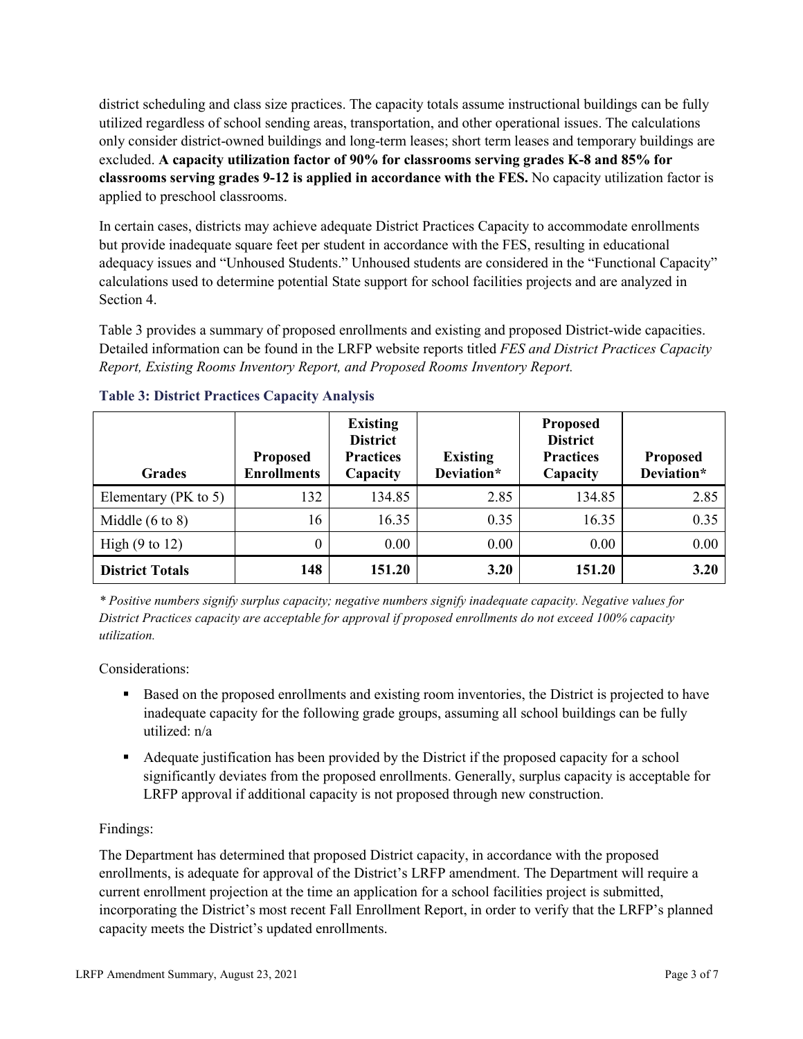district scheduling and class size practices. The capacity totals assume instructional buildings can be fully utilized regardless of school sending areas, transportation, and other operational issues. The calculations only consider district-owned buildings and long-term leases; short term leases and temporary buildings are excluded. **A capacity utilization factor of 90% for classrooms serving grades K-8 and 85% for classrooms serving grades 9-12 is applied in accordance with the FES.** No capacity utilization factor is applied to preschool classrooms.

In certain cases, districts may achieve adequate District Practices Capacity to accommodate enrollments but provide inadequate square feet per student in accordance with the FES, resulting in educational adequacy issues and "Unhoused Students." Unhoused students are considered in the "Functional Capacity" calculations used to determine potential State support for school facilities projects and are analyzed in Section 4.

Table 3 provides a summary of proposed enrollments and existing and proposed District-wide capacities. Detailed information can be found in the LRFP website reports titled *FES and District Practices Capacity Report, Existing Rooms Inventory Report, and Proposed Rooms Inventory Report.*

| <b>Grades</b>              | <b>Proposed</b><br><b>Enrollments</b> | <b>Existing</b><br><b>District</b><br><b>Practices</b><br>Capacity | <b>Existing</b><br>Deviation* | <b>Proposed</b><br><b>District</b><br><b>Practices</b><br>Capacity | <b>Proposed</b><br>Deviation* |
|----------------------------|---------------------------------------|--------------------------------------------------------------------|-------------------------------|--------------------------------------------------------------------|-------------------------------|
| Elementary ( $PK$ to 5)    | 132                                   | 134.85                                                             | 2.85                          | 134.85                                                             | 2.85                          |
| Middle $(6 \text{ to } 8)$ | 16                                    | 16.35                                                              | 0.35                          | 16.35                                                              | 0.35                          |
| High $(9 \text{ to } 12)$  | 0                                     | 0.00                                                               | 0.00                          | 0.00                                                               | 0.00                          |
| <b>District Totals</b>     | 148                                   | 151.20                                                             | 3.20                          | 151.20                                                             | 3.20                          |

## **Table 3: District Practices Capacity Analysis**

*\* Positive numbers signify surplus capacity; negative numbers signify inadequate capacity. Negative values for District Practices capacity are acceptable for approval if proposed enrollments do not exceed 100% capacity utilization.*

Considerations:

- Based on the proposed enrollments and existing room inventories, the District is projected to have inadequate capacity for the following grade groups, assuming all school buildings can be fully utilized: n/a
- Adequate justification has been provided by the District if the proposed capacity for a school significantly deviates from the proposed enrollments. Generally, surplus capacity is acceptable for LRFP approval if additional capacity is not proposed through new construction.

## Findings:

The Department has determined that proposed District capacity, in accordance with the proposed enrollments, is adequate for approval of the District's LRFP amendment. The Department will require a current enrollment projection at the time an application for a school facilities project is submitted, incorporating the District's most recent Fall Enrollment Report, in order to verify that the LRFP's planned capacity meets the District's updated enrollments.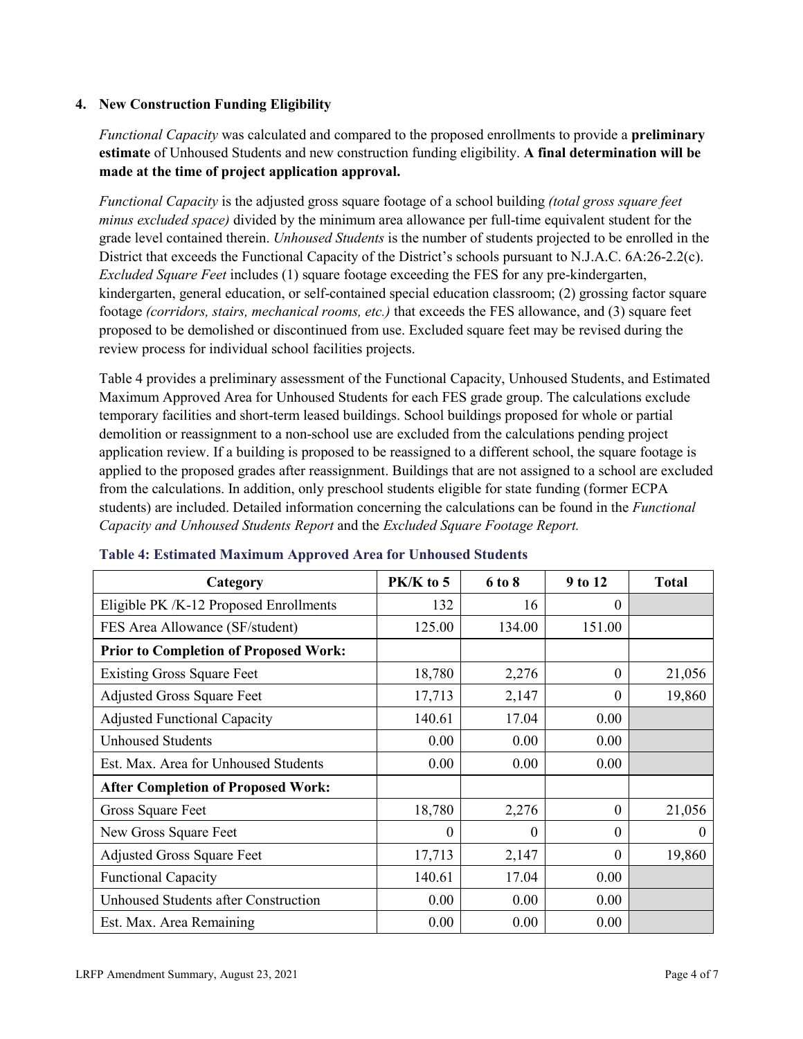### **4. New Construction Funding Eligibility**

*Functional Capacity* was calculated and compared to the proposed enrollments to provide a **preliminary estimate** of Unhoused Students and new construction funding eligibility. **A final determination will be made at the time of project application approval.**

*Functional Capacity* is the adjusted gross square footage of a school building *(total gross square feet minus excluded space)* divided by the minimum area allowance per full-time equivalent student for the grade level contained therein. *Unhoused Students* is the number of students projected to be enrolled in the District that exceeds the Functional Capacity of the District's schools pursuant to N.J.A.C. 6A:26-2.2(c). *Excluded Square Feet* includes (1) square footage exceeding the FES for any pre-kindergarten, kindergarten, general education, or self-contained special education classroom; (2) grossing factor square footage *(corridors, stairs, mechanical rooms, etc.)* that exceeds the FES allowance, and (3) square feet proposed to be demolished or discontinued from use. Excluded square feet may be revised during the review process for individual school facilities projects.

Table 4 provides a preliminary assessment of the Functional Capacity, Unhoused Students, and Estimated Maximum Approved Area for Unhoused Students for each FES grade group. The calculations exclude temporary facilities and short-term leased buildings. School buildings proposed for whole or partial demolition or reassignment to a non-school use are excluded from the calculations pending project application review. If a building is proposed to be reassigned to a different school, the square footage is applied to the proposed grades after reassignment. Buildings that are not assigned to a school are excluded from the calculations. In addition, only preschool students eligible for state funding (former ECPA students) are included. Detailed information concerning the calculations can be found in the *Functional Capacity and Unhoused Students Report* and the *Excluded Square Footage Report.*

| Category                                     | $PK/K$ to 5 | 6 to 8 | 9 to 12      | <b>Total</b> |
|----------------------------------------------|-------------|--------|--------------|--------------|
| Eligible PK /K-12 Proposed Enrollments       | 132         | 16     | 0            |              |
| FES Area Allowance (SF/student)              | 125.00      | 134.00 | 151.00       |              |
| <b>Prior to Completion of Proposed Work:</b> |             |        |              |              |
| <b>Existing Gross Square Feet</b>            | 18,780      | 2,276  | $\theta$     | 21,056       |
| <b>Adjusted Gross Square Feet</b>            | 17,713      | 2,147  | $\theta$     | 19,860       |
| <b>Adjusted Functional Capacity</b>          | 140.61      | 17.04  | 0.00         |              |
| <b>Unhoused Students</b>                     | 0.00        | 0.00   | 0.00         |              |
| Est. Max. Area for Unhoused Students         | 0.00        | 0.00   | 0.00         |              |
| <b>After Completion of Proposed Work:</b>    |             |        |              |              |
| Gross Square Feet                            | 18,780      | 2,276  | $\mathbf{0}$ | 21,056       |
| New Gross Square Feet                        | $\theta$    | 0      | $\theta$     | $\Omega$     |
| <b>Adjusted Gross Square Feet</b>            | 17,713      | 2,147  | $\theta$     | 19,860       |
| <b>Functional Capacity</b>                   | 140.61      | 17.04  | 0.00         |              |
| Unhoused Students after Construction         | 0.00        | 0.00   | 0.00         |              |
| Est. Max. Area Remaining                     | 0.00        | 0.00   | 0.00         |              |

#### **Table 4: Estimated Maximum Approved Area for Unhoused Students**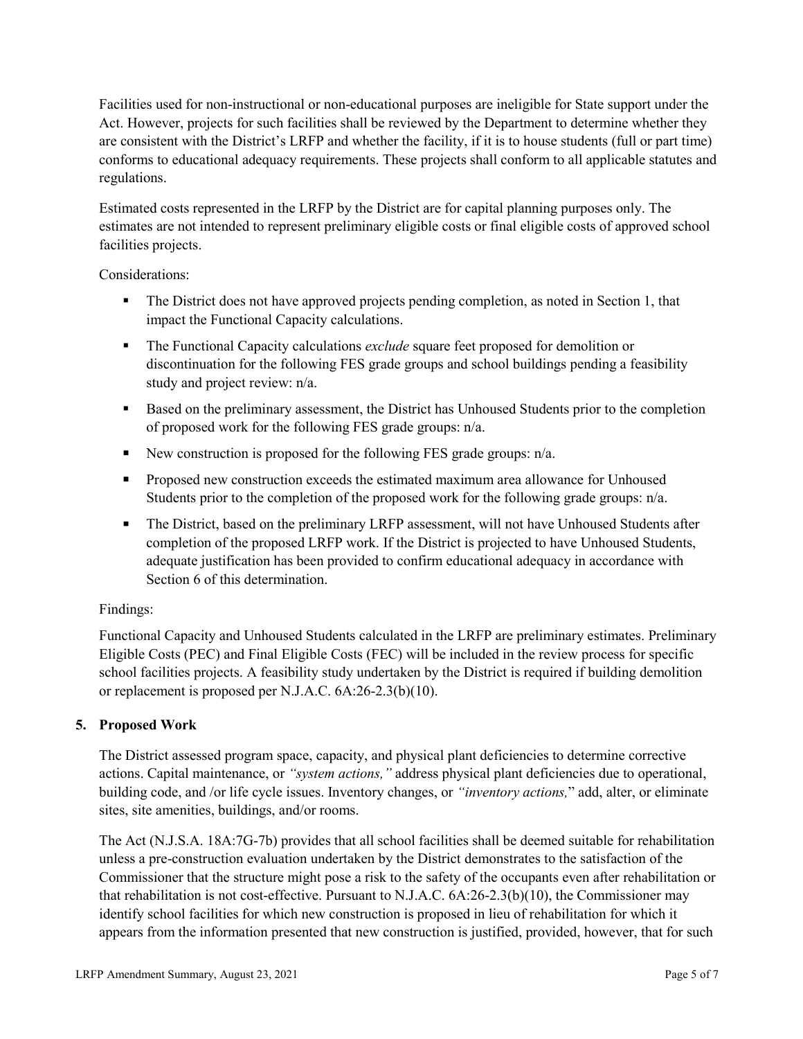Facilities used for non-instructional or non-educational purposes are ineligible for State support under the Act. However, projects for such facilities shall be reviewed by the Department to determine whether they are consistent with the District's LRFP and whether the facility, if it is to house students (full or part time) conforms to educational adequacy requirements. These projects shall conform to all applicable statutes and regulations.

Estimated costs represented in the LRFP by the District are for capital planning purposes only. The estimates are not intended to represent preliminary eligible costs or final eligible costs of approved school facilities projects.

Considerations:

- The District does not have approved projects pending completion, as noted in Section 1, that impact the Functional Capacity calculations.
- **The Functional Capacity calculations** *exclude* square feet proposed for demolition or discontinuation for the following FES grade groups and school buildings pending a feasibility study and project review: n/a.
- Based on the preliminary assessment, the District has Unhoused Students prior to the completion of proposed work for the following FES grade groups: n/a.
- New construction is proposed for the following FES grade groups: n/a.
- Proposed new construction exceeds the estimated maximum area allowance for Unhoused Students prior to the completion of the proposed work for the following grade groups: n/a.
- The District, based on the preliminary LRFP assessment, will not have Unhoused Students after completion of the proposed LRFP work. If the District is projected to have Unhoused Students, adequate justification has been provided to confirm educational adequacy in accordance with Section 6 of this determination.

## Findings:

Functional Capacity and Unhoused Students calculated in the LRFP are preliminary estimates. Preliminary Eligible Costs (PEC) and Final Eligible Costs (FEC) will be included in the review process for specific school facilities projects. A feasibility study undertaken by the District is required if building demolition or replacement is proposed per N.J.A.C. 6A:26-2.3(b)(10).

## **5. Proposed Work**

The District assessed program space, capacity, and physical plant deficiencies to determine corrective actions. Capital maintenance, or *"system actions,"* address physical plant deficiencies due to operational, building code, and /or life cycle issues. Inventory changes, or *"inventory actions,*" add, alter, or eliminate sites, site amenities, buildings, and/or rooms.

The Act (N.J.S.A. 18A:7G-7b) provides that all school facilities shall be deemed suitable for rehabilitation unless a pre-construction evaluation undertaken by the District demonstrates to the satisfaction of the Commissioner that the structure might pose a risk to the safety of the occupants even after rehabilitation or that rehabilitation is not cost-effective. Pursuant to N.J.A.C. 6A:26-2.3(b)(10), the Commissioner may identify school facilities for which new construction is proposed in lieu of rehabilitation for which it appears from the information presented that new construction is justified, provided, however, that for such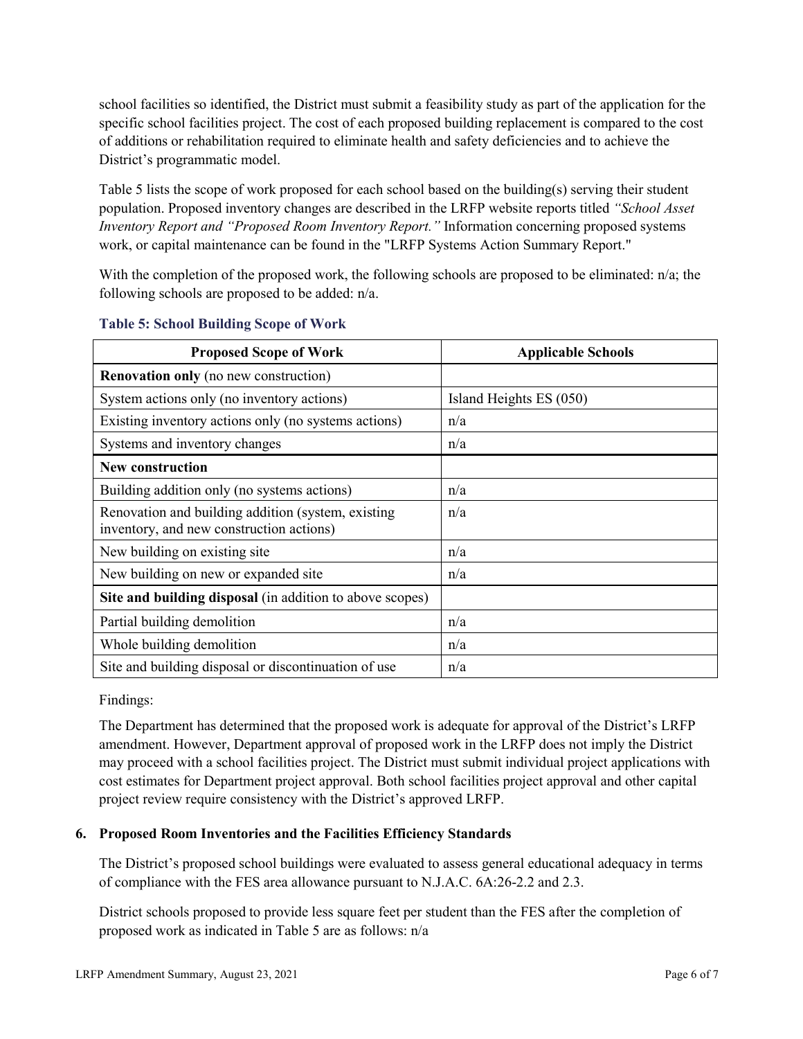school facilities so identified, the District must submit a feasibility study as part of the application for the specific school facilities project. The cost of each proposed building replacement is compared to the cost of additions or rehabilitation required to eliminate health and safety deficiencies and to achieve the District's programmatic model.

Table 5 lists the scope of work proposed for each school based on the building(s) serving their student population. Proposed inventory changes are described in the LRFP website reports titled *"School Asset Inventory Report and "Proposed Room Inventory Report."* Information concerning proposed systems work, or capital maintenance can be found in the "LRFP Systems Action Summary Report."

With the completion of the proposed work, the following schools are proposed to be eliminated: n/a; the following schools are proposed to be added: n/a.

| <b>Proposed Scope of Work</b>                                                                  | <b>Applicable Schools</b> |
|------------------------------------------------------------------------------------------------|---------------------------|
| <b>Renovation only</b> (no new construction)                                                   |                           |
| System actions only (no inventory actions)                                                     | Island Heights ES (050)   |
| Existing inventory actions only (no systems actions)                                           | n/a                       |
| Systems and inventory changes                                                                  | n/a                       |
| <b>New construction</b>                                                                        |                           |
| Building addition only (no systems actions)                                                    | n/a                       |
| Renovation and building addition (system, existing<br>inventory, and new construction actions) | n/a                       |
| New building on existing site                                                                  | n/a                       |
| New building on new or expanded site                                                           | n/a                       |
| Site and building disposal (in addition to above scopes)                                       |                           |
| Partial building demolition                                                                    | n/a                       |
| Whole building demolition                                                                      | n/a                       |
| Site and building disposal or discontinuation of use                                           | n/a                       |

#### **Table 5: School Building Scope of Work**

Findings:

The Department has determined that the proposed work is adequate for approval of the District's LRFP amendment. However, Department approval of proposed work in the LRFP does not imply the District may proceed with a school facilities project. The District must submit individual project applications with cost estimates for Department project approval. Both school facilities project approval and other capital project review require consistency with the District's approved LRFP.

## **6. Proposed Room Inventories and the Facilities Efficiency Standards**

The District's proposed school buildings were evaluated to assess general educational adequacy in terms of compliance with the FES area allowance pursuant to N.J.A.C. 6A:26-2.2 and 2.3.

District schools proposed to provide less square feet per student than the FES after the completion of proposed work as indicated in Table 5 are as follows: n/a